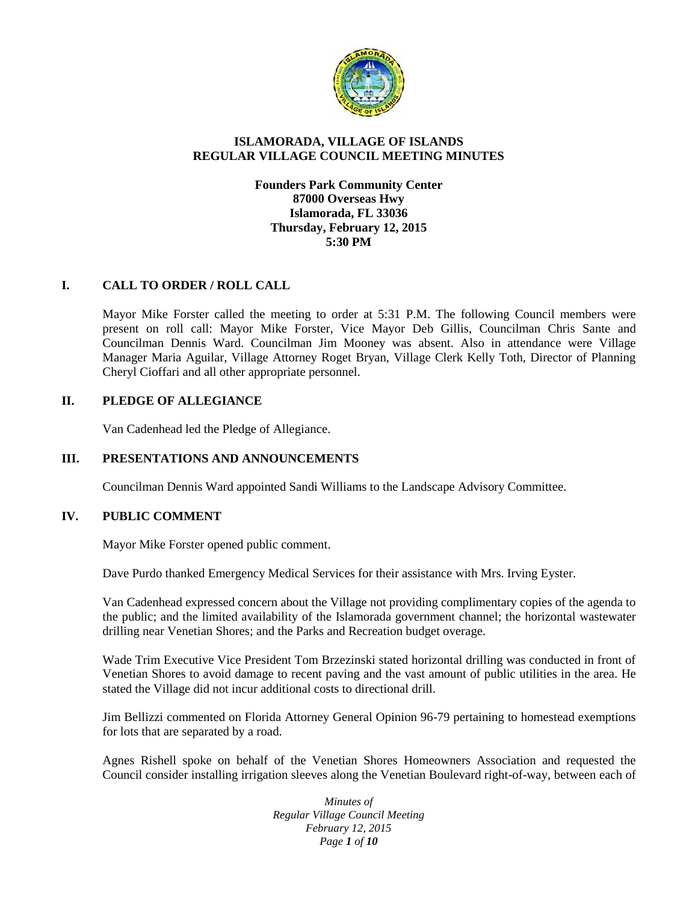

# **ISLAMORADA, VILLAGE OF ISLANDS REGULAR VILLAGE COUNCIL MEETING MINUTES**

## **Founders Park Community Center 87000 Overseas Hwy Islamorada, FL 33036 Thursday, February 12, 2015 5:30 PM**

# **I. CALL TO ORDER / ROLL CALL**

Mayor Mike Forster called the meeting to order at 5:31 P.M. The following Council members were present on roll call: Mayor Mike Forster, Vice Mayor Deb Gillis, Councilman Chris Sante and Councilman Dennis Ward. Councilman Jim Mooney was absent. Also in attendance were Village Manager Maria Aguilar, Village Attorney Roget Bryan, Village Clerk Kelly Toth, Director of Planning Cheryl Cioffari and all other appropriate personnel.

### **II. PLEDGE OF ALLEGIANCE**

Van Cadenhead led the Pledge of Allegiance.

## **III. PRESENTATIONS AND ANNOUNCEMENTS**

Councilman Dennis Ward appointed Sandi Williams to the Landscape Advisory Committee.

## **IV. PUBLIC COMMENT**

Mayor Mike Forster opened public comment.

Dave Purdo thanked Emergency Medical Services for their assistance with Mrs. Irving Eyster.

Van Cadenhead expressed concern about the Village not providing complimentary copies of the agenda to the public; and the limited availability of the Islamorada government channel; the horizontal wastewater drilling near Venetian Shores; and the Parks and Recreation budget overage.

Wade Trim Executive Vice President Tom Brzezinski stated horizontal drilling was conducted in front of Venetian Shores to avoid damage to recent paving and the vast amount of public utilities in the area. He stated the Village did not incur additional costs to directional drill.

Jim Bellizzi commented on Florida Attorney General Opinion 96-79 pertaining to homestead exemptions for lots that are separated by a road.

Agnes Rishell spoke on behalf of the Venetian Shores Homeowners Association and requested the Council consider installing irrigation sleeves along the Venetian Boulevard right-of-way, between each of

> *Minutes of Regular Village Council Meeting February 12, 2015 Page 1 of 10*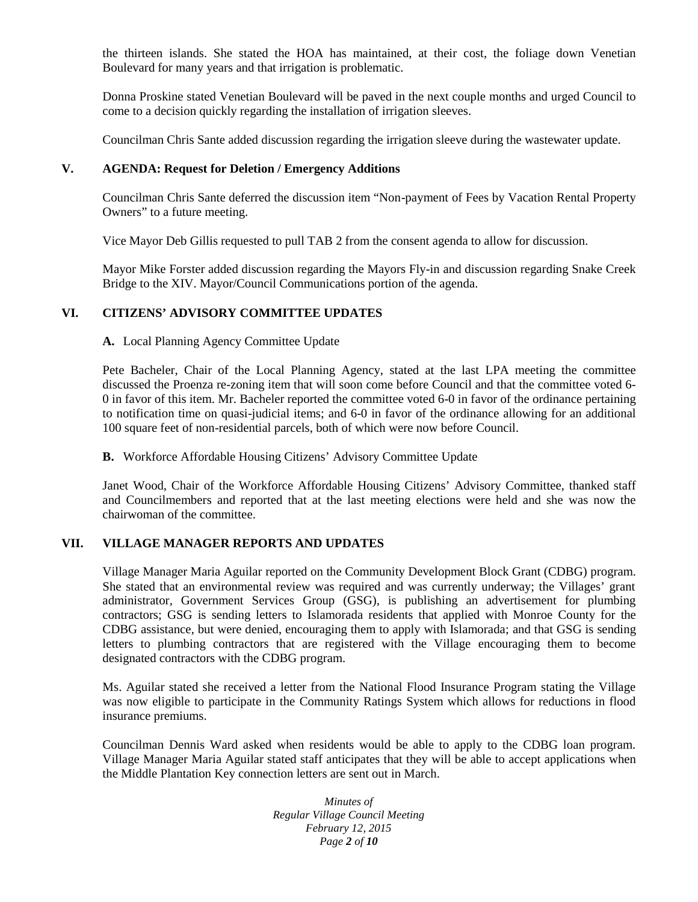the thirteen islands. She stated the HOA has maintained, at their cost, the foliage down Venetian Boulevard for many years and that irrigation is problematic.

Donna Proskine stated Venetian Boulevard will be paved in the next couple months and urged Council to come to a decision quickly regarding the installation of irrigation sleeves.

Councilman Chris Sante added discussion regarding the irrigation sleeve during the wastewater update.

#### **V. AGENDA: Request for Deletion / Emergency Additions**

Councilman Chris Sante deferred the discussion item "Non-payment of Fees by Vacation Rental Property Owners" to a future meeting.

Vice Mayor Deb Gillis requested to pull TAB 2 from the consent agenda to allow for discussion.

Mayor Mike Forster added discussion regarding the Mayors Fly-in and discussion regarding Snake Creek Bridge to the XIV. Mayor/Council Communications portion of the agenda.

### **VI. CITIZENS' ADVISORY COMMITTEE UPDATES**

#### **A.** Local Planning Agency Committee Update

Pete Bacheler, Chair of the Local Planning Agency, stated at the last LPA meeting the committee discussed the Proenza re-zoning item that will soon come before Council and that the committee voted 6- 0 in favor of this item. Mr. Bacheler reported the committee voted 6-0 in favor of the ordinance pertaining to notification time on quasi-judicial items; and 6-0 in favor of the ordinance allowing for an additional 100 square feet of non-residential parcels, both of which were now before Council.

### **B.** Workforce Affordable Housing Citizens' Advisory Committee Update

Janet Wood, Chair of the Workforce Affordable Housing Citizens' Advisory Committee, thanked staff and Councilmembers and reported that at the last meeting elections were held and she was now the chairwoman of the committee.

### **VII. VILLAGE MANAGER REPORTS AND UPDATES**

Village Manager Maria Aguilar reported on the Community Development Block Grant (CDBG) program. She stated that an environmental review was required and was currently underway; the Villages' grant administrator, Government Services Group (GSG), is publishing an advertisement for plumbing contractors; GSG is sending letters to Islamorada residents that applied with Monroe County for the CDBG assistance, but were denied, encouraging them to apply with Islamorada; and that GSG is sending letters to plumbing contractors that are registered with the Village encouraging them to become designated contractors with the CDBG program.

Ms. Aguilar stated she received a letter from the National Flood Insurance Program stating the Village was now eligible to participate in the Community Ratings System which allows for reductions in flood insurance premiums.

Councilman Dennis Ward asked when residents would be able to apply to the CDBG loan program. Village Manager Maria Aguilar stated staff anticipates that they will be able to accept applications when the Middle Plantation Key connection letters are sent out in March.

> *Minutes of Regular Village Council Meeting February 12, 2015 Page 2 of 10*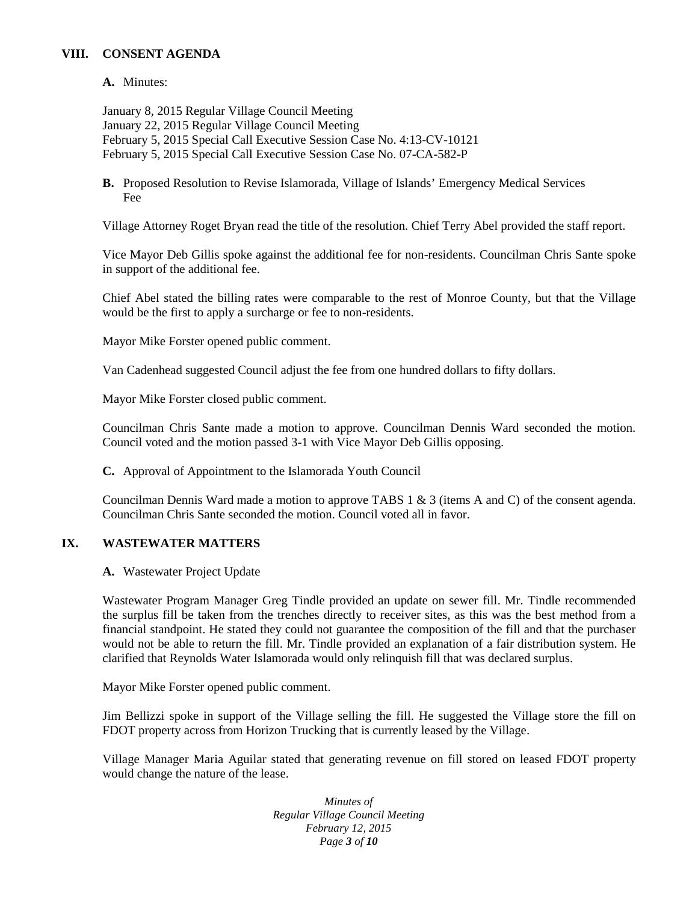# **VIII. CONSENT AGENDA**

**A.** Minutes:

January 8, 2015 Regular Village Council Meeting January 22, 2015 Regular Village Council Meeting February 5, 2015 Special Call Executive Session Case No. 4:13-CV-10121 February 5, 2015 Special Call Executive Session Case No. 07-CA-582-P

**B.** Proposed Resolution to Revise Islamorada, Village of Islands' Emergency Medical Services Fee

Village Attorney Roget Bryan read the title of the resolution. Chief Terry Abel provided the staff report.

Vice Mayor Deb Gillis spoke against the additional fee for non-residents. Councilman Chris Sante spoke in support of the additional fee.

Chief Abel stated the billing rates were comparable to the rest of Monroe County, but that the Village would be the first to apply a surcharge or fee to non-residents.

Mayor Mike Forster opened public comment.

Van Cadenhead suggested Council adjust the fee from one hundred dollars to fifty dollars.

Mayor Mike Forster closed public comment.

Councilman Chris Sante made a motion to approve. Councilman Dennis Ward seconded the motion. Council voted and the motion passed 3-1 with Vice Mayor Deb Gillis opposing.

**C.** Approval of Appointment to the Islamorada Youth Council

Councilman Dennis Ward made a motion to approve TABS 1 & 3 (items A and C) of the consent agenda. Councilman Chris Sante seconded the motion. Council voted all in favor.

#### **IX. WASTEWATER MATTERS**

**A.** Wastewater Project Update

Wastewater Program Manager Greg Tindle provided an update on sewer fill. Mr. Tindle recommended the surplus fill be taken from the trenches directly to receiver sites, as this was the best method from a financial standpoint. He stated they could not guarantee the composition of the fill and that the purchaser would not be able to return the fill. Mr. Tindle provided an explanation of a fair distribution system. He clarified that Reynolds Water Islamorada would only relinquish fill that was declared surplus.

Mayor Mike Forster opened public comment.

Jim Bellizzi spoke in support of the Village selling the fill. He suggested the Village store the fill on FDOT property across from Horizon Trucking that is currently leased by the Village.

Village Manager Maria Aguilar stated that generating revenue on fill stored on leased FDOT property would change the nature of the lease.

> *Minutes of Regular Village Council Meeting February 12, 2015 Page 3 of 10*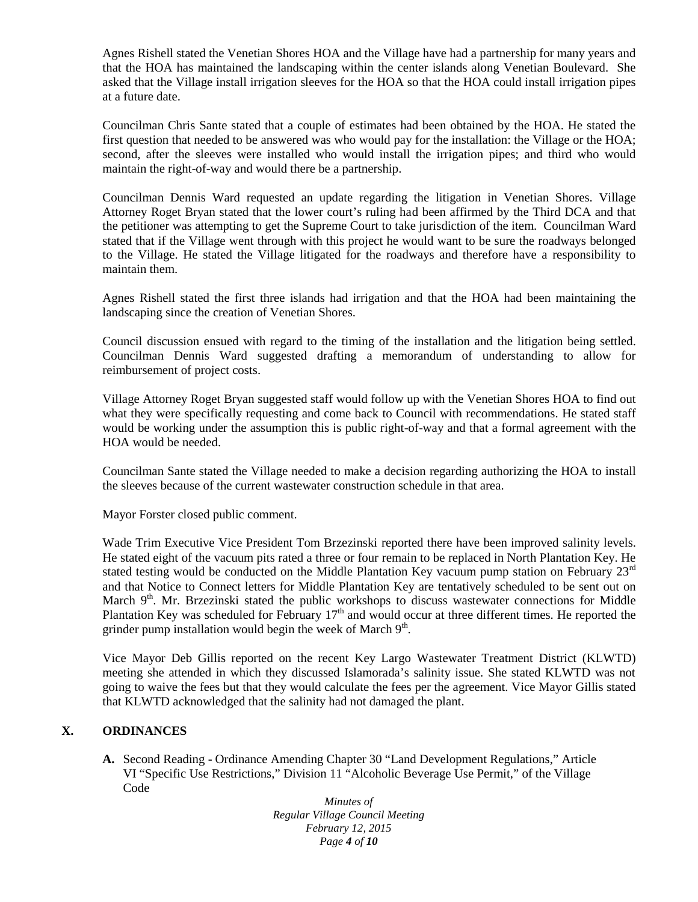Agnes Rishell stated the Venetian Shores HOA and the Village have had a partnership for many years and that the HOA has maintained the landscaping within the center islands along Venetian Boulevard. She asked that the Village install irrigation sleeves for the HOA so that the HOA could install irrigation pipes at a future date.

Councilman Chris Sante stated that a couple of estimates had been obtained by the HOA. He stated the first question that needed to be answered was who would pay for the installation: the Village or the HOA; second, after the sleeves were installed who would install the irrigation pipes; and third who would maintain the right-of-way and would there be a partnership.

Councilman Dennis Ward requested an update regarding the litigation in Venetian Shores. Village Attorney Roget Bryan stated that the lower court's ruling had been affirmed by the Third DCA and that the petitioner was attempting to get the Supreme Court to take jurisdiction of the item. Councilman Ward stated that if the Village went through with this project he would want to be sure the roadways belonged to the Village. He stated the Village litigated for the roadways and therefore have a responsibility to maintain them.

Agnes Rishell stated the first three islands had irrigation and that the HOA had been maintaining the landscaping since the creation of Venetian Shores.

Council discussion ensued with regard to the timing of the installation and the litigation being settled. Councilman Dennis Ward suggested drafting a memorandum of understanding to allow for reimbursement of project costs.

Village Attorney Roget Bryan suggested staff would follow up with the Venetian Shores HOA to find out what they were specifically requesting and come back to Council with recommendations. He stated staff would be working under the assumption this is public right-of-way and that a formal agreement with the HOA would be needed.

Councilman Sante stated the Village needed to make a decision regarding authorizing the HOA to install the sleeves because of the current wastewater construction schedule in that area.

Mayor Forster closed public comment.

Wade Trim Executive Vice President Tom Brzezinski reported there have been improved salinity levels. He stated eight of the vacuum pits rated a three or four remain to be replaced in North Plantation Key. He stated testing would be conducted on the Middle Plantation Key vacuum pump station on February  $23<sup>rd</sup>$ and that Notice to Connect letters for Middle Plantation Key are tentatively scheduled to be sent out on March 9<sup>th</sup>. Mr. Brzezinski stated the public workshops to discuss wastewater connections for Middle Plantation Key was scheduled for February  $17<sup>th</sup>$  and would occur at three different times. He reported the grinder pump installation would begin the week of March  $9<sup>th</sup>$ .

Vice Mayor Deb Gillis reported on the recent Key Largo Wastewater Treatment District (KLWTD) meeting she attended in which they discussed Islamorada's salinity issue. She stated KLWTD was not going to waive the fees but that they would calculate the fees per the agreement. Vice Mayor Gillis stated that KLWTD acknowledged that the salinity had not damaged the plant.

### **X. ORDINANCES**

**A.** Second Reading - Ordinance Amending Chapter 30 "Land Development Regulations," Article VI "Specific Use Restrictions," Division 11 "Alcoholic Beverage Use Permit," of the Village Code

> *Minutes of Regular Village Council Meeting February 12, 2015 Page 4 of 10*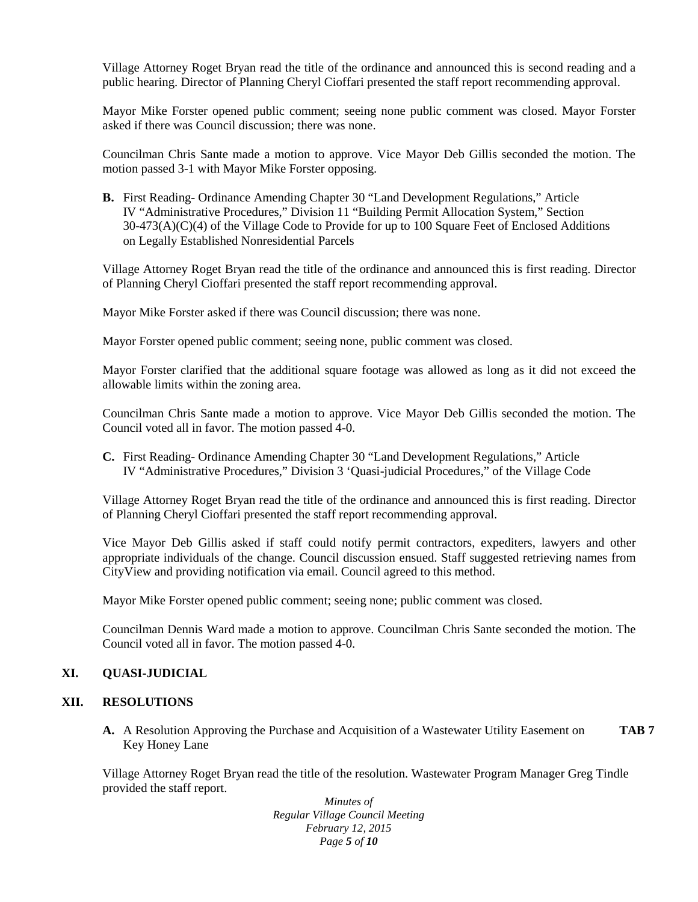Village Attorney Roget Bryan read the title of the ordinance and announced this is second reading and a public hearing. Director of Planning Cheryl Cioffari presented the staff report recommending approval.

Mayor Mike Forster opened public comment; seeing none public comment was closed. Mayor Forster asked if there was Council discussion; there was none.

Councilman Chris Sante made a motion to approve. Vice Mayor Deb Gillis seconded the motion. The motion passed 3-1 with Mayor Mike Forster opposing.

**B.** First Reading- Ordinance Amending Chapter 30 "Land Development Regulations," Article IV "Administrative Procedures," Division 11 "Building Permit Allocation System," Section 30-473(A)(C)(4) of the Village Code to Provide for up to 100 Square Feet of Enclosed Additions on Legally Established Nonresidential Parcels

Village Attorney Roget Bryan read the title of the ordinance and announced this is first reading. Director of Planning Cheryl Cioffari presented the staff report recommending approval.

Mayor Mike Forster asked if there was Council discussion; there was none.

Mayor Forster opened public comment; seeing none, public comment was closed.

Mayor Forster clarified that the additional square footage was allowed as long as it did not exceed the allowable limits within the zoning area.

Councilman Chris Sante made a motion to approve. Vice Mayor Deb Gillis seconded the motion. The Council voted all in favor. The motion passed 4-0.

**C.** First Reading- Ordinance Amending Chapter 30 "Land Development Regulations," Article IV "Administrative Procedures," Division 3 'Quasi-judicial Procedures," of the Village Code

Village Attorney Roget Bryan read the title of the ordinance and announced this is first reading. Director of Planning Cheryl Cioffari presented the staff report recommending approval.

Vice Mayor Deb Gillis asked if staff could notify permit contractors, expediters, lawyers and other appropriate individuals of the change. Council discussion ensued. Staff suggested retrieving names from CityView and providing notification via email. Council agreed to this method.

Mayor Mike Forster opened public comment; seeing none; public comment was closed.

Councilman Dennis Ward made a motion to approve. Councilman Chris Sante seconded the motion. The Council voted all in favor. The motion passed 4-0.

# **XI. QUASI-JUDICIAL**

### **XII. RESOLUTIONS**

**A.** A Resolution Approving the Purchase and Acquisition of a Wastewater Utility Easement on **TAB 7** Key Honey Lane

Village Attorney Roget Bryan read the title of the resolution. Wastewater Program Manager Greg Tindle provided the staff report.

> *Minutes of Regular Village Council Meeting February 12, 2015 Page 5 of 10*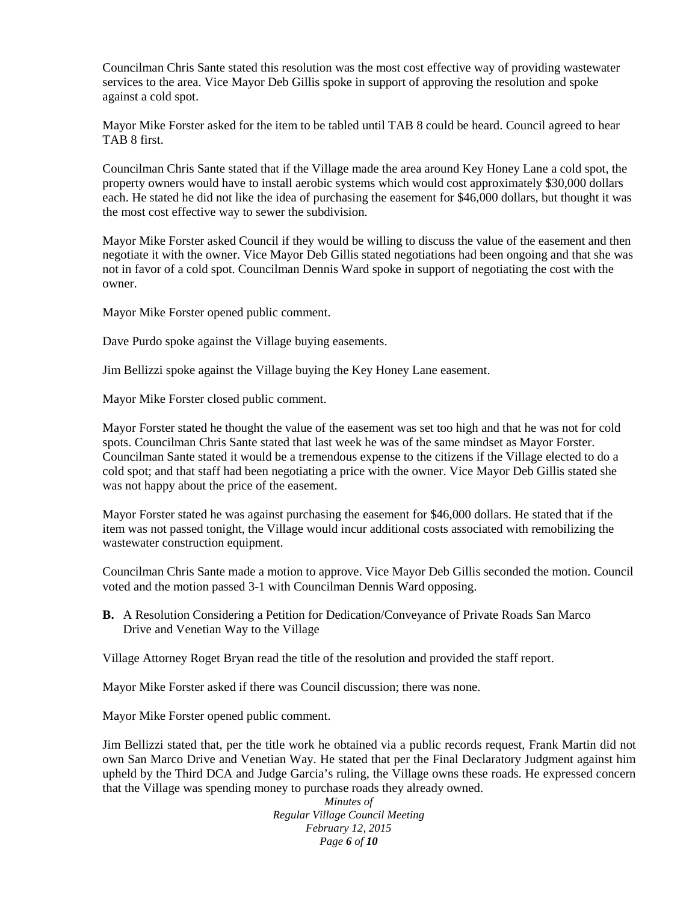Councilman Chris Sante stated this resolution was the most cost effective way of providing wastewater services to the area. Vice Mayor Deb Gillis spoke in support of approving the resolution and spoke against a cold spot.

Mayor Mike Forster asked for the item to be tabled until TAB 8 could be heard. Council agreed to hear TAB 8 first.

Councilman Chris Sante stated that if the Village made the area around Key Honey Lane a cold spot, the property owners would have to install aerobic systems which would cost approximately \$30,000 dollars each. He stated he did not like the idea of purchasing the easement for \$46,000 dollars, but thought it was the most cost effective way to sewer the subdivision.

Mayor Mike Forster asked Council if they would be willing to discuss the value of the easement and then negotiate it with the owner. Vice Mayor Deb Gillis stated negotiations had been ongoing and that she was not in favor of a cold spot. Councilman Dennis Ward spoke in support of negotiating the cost with the owner.

Mayor Mike Forster opened public comment.

Dave Purdo spoke against the Village buying easements.

Jim Bellizzi spoke against the Village buying the Key Honey Lane easement.

Mayor Mike Forster closed public comment.

Mayor Forster stated he thought the value of the easement was set too high and that he was not for cold spots. Councilman Chris Sante stated that last week he was of the same mindset as Mayor Forster. Councilman Sante stated it would be a tremendous expense to the citizens if the Village elected to do a cold spot; and that staff had been negotiating a price with the owner. Vice Mayor Deb Gillis stated she was not happy about the price of the easement.

Mayor Forster stated he was against purchasing the easement for \$46,000 dollars. He stated that if the item was not passed tonight, the Village would incur additional costs associated with remobilizing the wastewater construction equipment.

Councilman Chris Sante made a motion to approve. Vice Mayor Deb Gillis seconded the motion. Council voted and the motion passed 3-1 with Councilman Dennis Ward opposing.

**B.** A Resolution Considering a Petition for Dedication/Conveyance of Private Roads San Marco Drive and Venetian Way to the Village

Village Attorney Roget Bryan read the title of the resolution and provided the staff report.

Mayor Mike Forster asked if there was Council discussion; there was none.

Mayor Mike Forster opened public comment.

Jim Bellizzi stated that, per the title work he obtained via a public records request, Frank Martin did not own San Marco Drive and Venetian Way. He stated that per the Final Declaratory Judgment against him upheld by the Third DCA and Judge Garcia's ruling, the Village owns these roads. He expressed concern that the Village was spending money to purchase roads they already owned.

> *Minutes of Regular Village Council Meeting February 12, 2015 Page 6 of 10*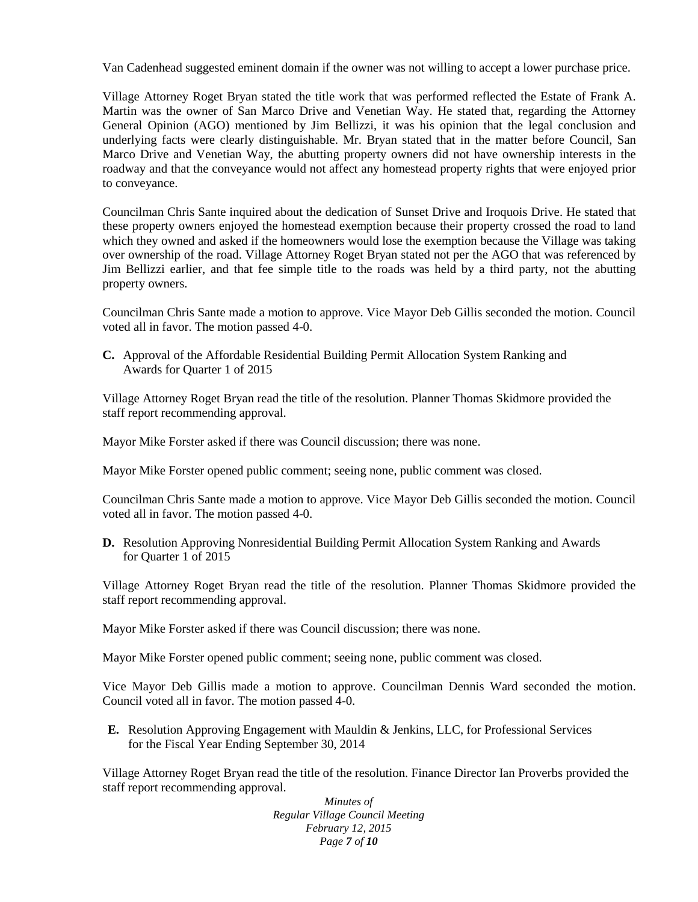Van Cadenhead suggested eminent domain if the owner was not willing to accept a lower purchase price.

Village Attorney Roget Bryan stated the title work that was performed reflected the Estate of Frank A. Martin was the owner of San Marco Drive and Venetian Way. He stated that, regarding the Attorney General Opinion (AGO) mentioned by Jim Bellizzi, it was his opinion that the legal conclusion and underlying facts were clearly distinguishable. Mr. Bryan stated that in the matter before Council, San Marco Drive and Venetian Way, the abutting property owners did not have ownership interests in the roadway and that the conveyance would not affect any homestead property rights that were enjoyed prior to conveyance.

Councilman Chris Sante inquired about the dedication of Sunset Drive and Iroquois Drive. He stated that these property owners enjoyed the homestead exemption because their property crossed the road to land which they owned and asked if the homeowners would lose the exemption because the Village was taking over ownership of the road. Village Attorney Roget Bryan stated not per the AGO that was referenced by Jim Bellizzi earlier, and that fee simple title to the roads was held by a third party, not the abutting property owners.

Councilman Chris Sante made a motion to approve. Vice Mayor Deb Gillis seconded the motion. Council voted all in favor. The motion passed 4-0.

**C.** Approval of the Affordable Residential Building Permit Allocation System Ranking and Awards for Quarter 1 of 2015

Village Attorney Roget Bryan read the title of the resolution. Planner Thomas Skidmore provided the staff report recommending approval.

Mayor Mike Forster asked if there was Council discussion; there was none.

Mayor Mike Forster opened public comment; seeing none, public comment was closed.

Councilman Chris Sante made a motion to approve. Vice Mayor Deb Gillis seconded the motion. Council voted all in favor. The motion passed 4-0.

**D.** Resolution Approving Nonresidential Building Permit Allocation System Ranking and Awards for Quarter 1 of 2015

Village Attorney Roget Bryan read the title of the resolution. Planner Thomas Skidmore provided the staff report recommending approval.

Mayor Mike Forster asked if there was Council discussion; there was none.

Mayor Mike Forster opened public comment; seeing none, public comment was closed.

Vice Mayor Deb Gillis made a motion to approve. Councilman Dennis Ward seconded the motion. Council voted all in favor. The motion passed 4-0.

**E.** Resolution Approving Engagement with Mauldin & Jenkins, LLC, for Professional Services for the Fiscal Year Ending September 30, 2014

Village Attorney Roget Bryan read the title of the resolution. Finance Director Ian Proverbs provided the staff report recommending approval.

> *Minutes of Regular Village Council Meeting February 12, 2015 Page 7 of 10*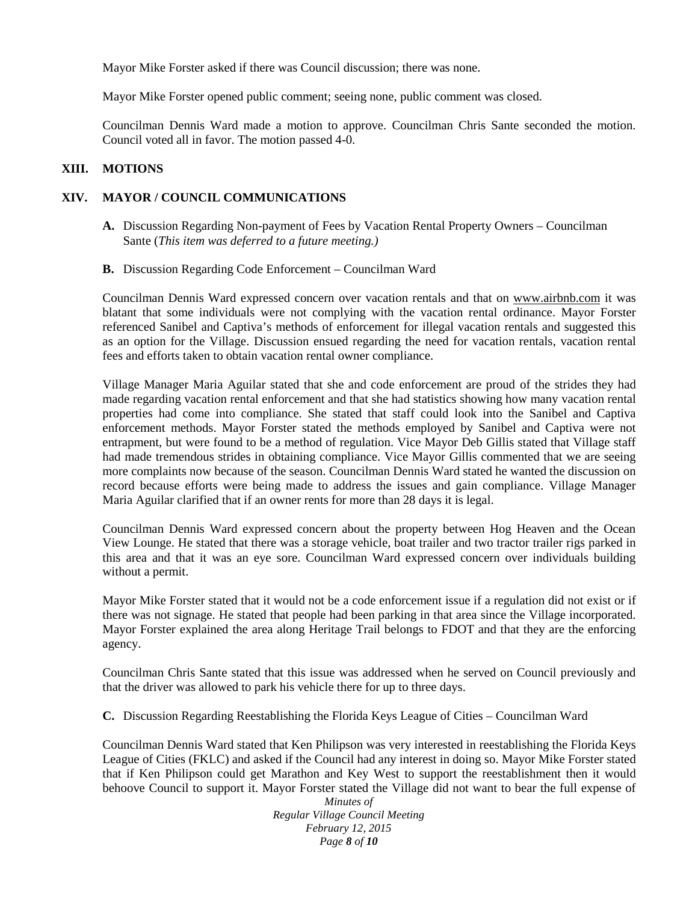Mayor Mike Forster asked if there was Council discussion; there was none.

Mayor Mike Forster opened public comment; seeing none, public comment was closed.

Councilman Dennis Ward made a motion to approve. Councilman Chris Sante seconded the motion. Council voted all in favor. The motion passed 4-0.

### **XIII. MOTIONS**

# **XIV. MAYOR / COUNCIL COMMUNICATIONS**

- **A.** Discussion Regarding Non-payment of Fees by Vacation Rental Property Owners Councilman Sante (*This item was deferred to a future meeting.)*
- **B.** Discussion Regarding Code Enforcement Councilman Ward

Councilman Dennis Ward expressed concern over vacation rentals and that on www.airbnb.com it was blatant that some individuals were not complying with the vacation rental ordinance. Mayor Forster referenced Sanibel and Captiva's methods of enforcement for illegal vacation rentals and suggested this as an option for the Village. Discussion ensued regarding the need for vacation rentals, vacation rental fees and efforts taken to obtain vacation rental owner compliance.

Village Manager Maria Aguilar stated that she and code enforcement are proud of the strides they had made regarding vacation rental enforcement and that she had statistics showing how many vacation rental properties had come into compliance. She stated that staff could look into the Sanibel and Captiva enforcement methods. Mayor Forster stated the methods employed by Sanibel and Captiva were not entrapment, but were found to be a method of regulation. Vice Mayor Deb Gillis stated that Village staff had made tremendous strides in obtaining compliance. Vice Mayor Gillis commented that we are seeing more complaints now because of the season. Councilman Dennis Ward stated he wanted the discussion on record because efforts were being made to address the issues and gain compliance. Village Manager Maria Aguilar clarified that if an owner rents for more than 28 days it is legal.

Councilman Dennis Ward expressed concern about the property between Hog Heaven and the Ocean View Lounge. He stated that there was a storage vehicle, boat trailer and two tractor trailer rigs parked in this area and that it was an eye sore. Councilman Ward expressed concern over individuals building without a permit.

Mayor Mike Forster stated that it would not be a code enforcement issue if a regulation did not exist or if there was not signage. He stated that people had been parking in that area since the Village incorporated. Mayor Forster explained the area along Heritage Trail belongs to FDOT and that they are the enforcing agency.

Councilman Chris Sante stated that this issue was addressed when he served on Council previously and that the driver was allowed to park his vehicle there for up to three days.

**C.** Discussion Regarding Reestablishing the Florida Keys League of Cities – Councilman Ward

Councilman Dennis Ward stated that Ken Philipson was very interested in reestablishing the Florida Keys League of Cities (FKLC) and asked if the Council had any interest in doing so. Mayor Mike Forster stated that if Ken Philipson could get Marathon and Key West to support the reestablishment then it would behoove Council to support it. Mayor Forster stated the Village did not want to bear the full expense of

> *Minutes of Regular Village Council Meeting February 12, 2015 Page 8 of 10*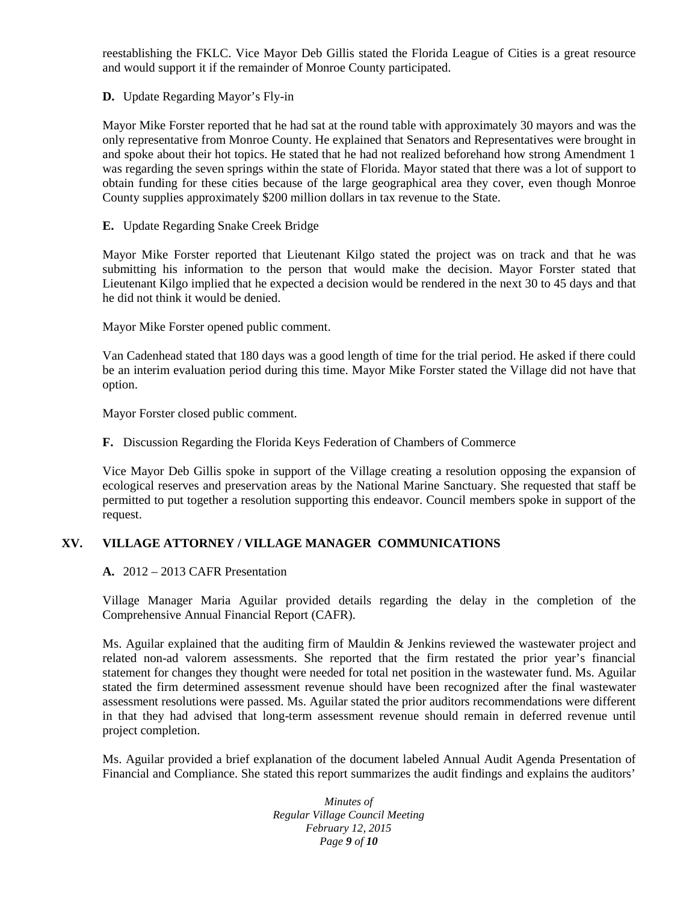reestablishing the FKLC. Vice Mayor Deb Gillis stated the Florida League of Cities is a great resource and would support it if the remainder of Monroe County participated.

**D.** Update Regarding Mayor's Fly-in

Mayor Mike Forster reported that he had sat at the round table with approximately 30 mayors and was the only representative from Monroe County. He explained that Senators and Representatives were brought in and spoke about their hot topics. He stated that he had not realized beforehand how strong Amendment 1 was regarding the seven springs within the state of Florida. Mayor stated that there was a lot of support to obtain funding for these cities because of the large geographical area they cover, even though Monroe County supplies approximately \$200 million dollars in tax revenue to the State.

**E.** Update Regarding Snake Creek Bridge

Mayor Mike Forster reported that Lieutenant Kilgo stated the project was on track and that he was submitting his information to the person that would make the decision. Mayor Forster stated that Lieutenant Kilgo implied that he expected a decision would be rendered in the next 30 to 45 days and that he did not think it would be denied.

Mayor Mike Forster opened public comment.

Van Cadenhead stated that 180 days was a good length of time for the trial period. He asked if there could be an interim evaluation period during this time. Mayor Mike Forster stated the Village did not have that option.

Mayor Forster closed public comment.

**F.** Discussion Regarding the Florida Keys Federation of Chambers of Commerce

Vice Mayor Deb Gillis spoke in support of the Village creating a resolution opposing the expansion of ecological reserves and preservation areas by the National Marine Sanctuary. She requested that staff be permitted to put together a resolution supporting this endeavor. Council members spoke in support of the request.

# **XV. VILLAGE ATTORNEY / VILLAGE MANAGER COMMUNICATIONS**

**A.** 2012 – 2013 CAFR Presentation

Village Manager Maria Aguilar provided details regarding the delay in the completion of the Comprehensive Annual Financial Report (CAFR).

Ms. Aguilar explained that the auditing firm of Mauldin & Jenkins reviewed the wastewater project and related non-ad valorem assessments. She reported that the firm restated the prior year's financial statement for changes they thought were needed for total net position in the wastewater fund. Ms. Aguilar stated the firm determined assessment revenue should have been recognized after the final wastewater assessment resolutions were passed. Ms. Aguilar stated the prior auditors recommendations were different in that they had advised that long-term assessment revenue should remain in deferred revenue until project completion.

Ms. Aguilar provided a brief explanation of the document labeled Annual Audit Agenda Presentation of Financial and Compliance. She stated this report summarizes the audit findings and explains the auditors'

> *Minutes of Regular Village Council Meeting February 12, 2015 Page 9 of 10*